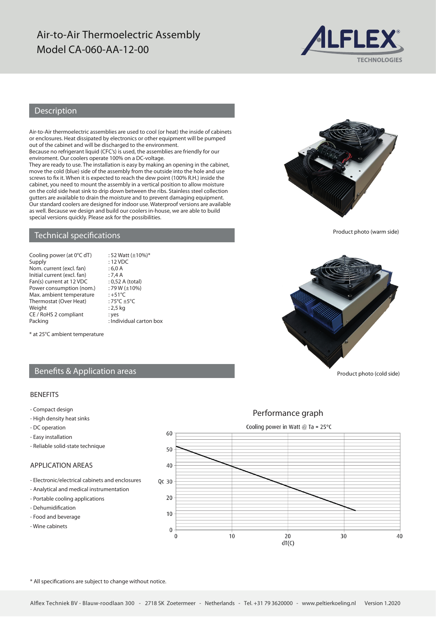# Air-to-Air Thermoelectric Assembly Model CA-060-AA-12-00



# Description

Air-to-Air thermoelectric assemblies are used to cool (or heat) the inside of cabinets or enclosures. Heat dissipated by electronics or other equipment will be pumped out of the cabinet and will be discharged to the environment.

Because no refrigerant liquid (CFC's) is used, the assemblies are friendly for our enviroment. Our coolers operate 100% on a DC-voltage.

They are ready to use. The installation is easy by making an opening in the cabinet, move the cold (blue) side of the assembly from the outside into the hole and use screws to fix it. When it is expected to reach the dew point (100% R.H.) inside the cabinet, you need to mount the assembly in a vertical position to allow moisture on the cold side heat sink to drip down between the ribs. Stainless steel collection gutters are available to drain the moisture and to prevent damaging equipment. Our standard coolers are designed for indoor use. Waterproof versions are available as well. Because we design and build our coolers in-house, we are able to build special versions quickly. Please ask for the possibilities.

 $: 52$  Watt ( $\pm 10\%$ )\*

## Technical specifications

| Cooling power (at 0°C dT)   |
|-----------------------------|
| Supply                      |
| Nom. current (excl. fan)    |
| Initial current (excl. fan) |
| Fan(s) current at 12 VDC    |
| Power consumption (nom.)    |
| Max. ambient temperature    |
| Thermostat (Over Heat)      |
| Weight                      |
| CE / RoHS 2 compliant       |
| <b>Dacking</b>              |

: 12 VDC  $: 6.0 A$  $: 7,4 A$ : 0,52 A (total)  $:79 W (\pm 10\%)$  $\cdot +51$ °C :  $75^{\circ}$ C  $\pm 5^{\circ}$ C  $: 2,5$  kg : yes Packing **Example 2** : Individual carton box

\* at 25°C ambient temperature

# Benefits & Application areas

### BENEFITS

- Compact design
- High density heat sinks
- DC operation
- Easy installation
- Reliable solid-state technique

### APPLICATION AREAS

- Electronic/electrical cabinets and enclosures
- Analytical and medical instrumentation
- Portable cooling applications
- Dehumidification
- Food and beverage
- Wine cabinets







Product photo (warm side)



Product photo (cold side)